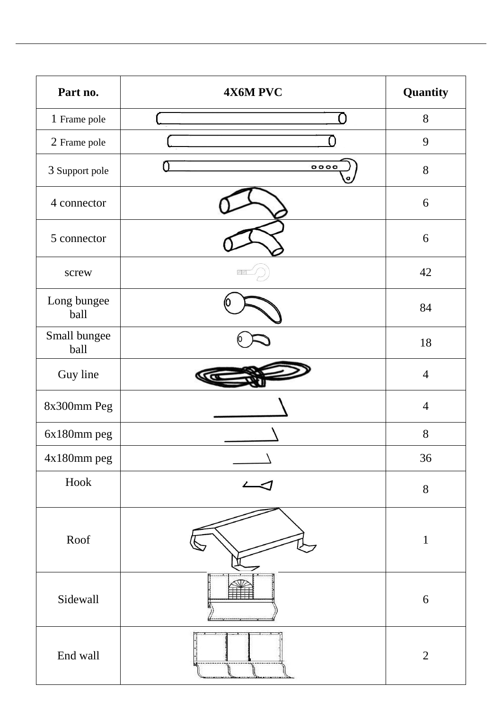| Part no.             | 4X6M PVC | Quantity       |
|----------------------|----------|----------------|
| 1 Frame pole         |          | 8              |
| 2 Frame pole         |          | 9              |
| 3 Support pole       | 0000     | 8              |
| 4 connector          |          | 6              |
| 5 connector          |          | 6              |
| screw                |          | 42             |
| Long bungee<br>ball  |          | 84             |
| Small bungee<br>ball |          | 18             |
| Guy line             |          | $\overline{4}$ |
| 8x300mm Peg          |          | $\overline{4}$ |
| 6x180mm peg          |          | 8              |
| 4x180mm peg          |          | 36             |
| Hook                 |          | $8\,$          |
| Roof                 |          | $\mathbf{1}$   |
| Sidewall             |          | 6              |
| End wall             |          | $\overline{2}$ |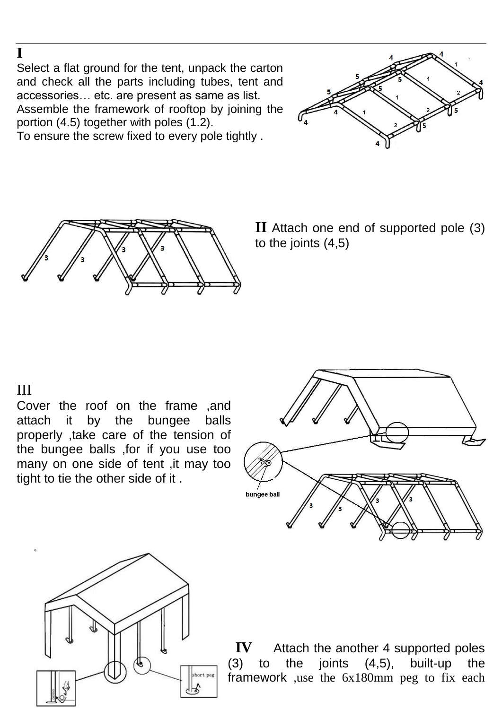Select a flat ground for the tent, unpack the carton and check all the parts including tubes, tent and accessories… etc. are present as same as list. Assemble the framework of rooftop by joining the portion (4.5) together with poles (1.2).







**II** Attach one end of supported pole (3) to the joints (4,5)

## III

**I** 

Cover the roof on the frame ,and attach it by the bungee balls properly ,take care of the tension of the bungee balls ,for if you use too many on one side of tent ,it may too tight to tie the other side of it .





**IV** Attach the another 4 supported poles (3) to the joints (4,5), built-up the framework ,use the 6x180mm peg to fix each